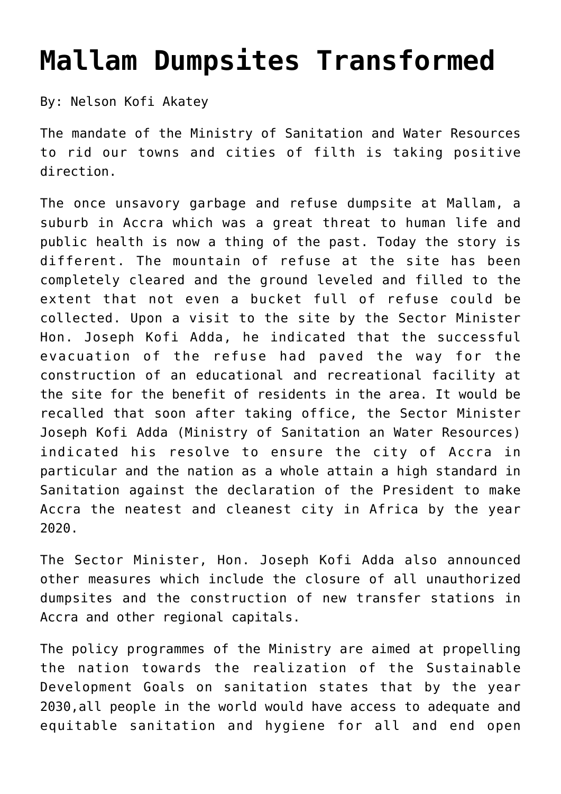## **[Mallam Dumpsites Transformed](http://mswr.gov.gh/mallam-dumpsites-transformed/)**

By: Nelson Kofi Akatey

The mandate of the Ministry of Sanitation and Water Resources to rid our towns and cities of filth is taking positive direction.

The once unsavory garbage and refuse dumpsite at Mallam, a suburb in Accra which was a great threat to human life and public health is now a thing of the past. Today the story is different. The mountain of refuse at the site has been completely cleared and the ground leveled and filled to the extent that not even a bucket full of refuse could be collected. Upon a visit to the site by the Sector Minister Hon. Joseph Kofi Adda, he indicated that the successful evacuation of the refuse had paved the way for the construction of an educational and recreational facility at the site for the benefit of residents in the area. It would be recalled that soon after taking office, the Sector Minister Joseph Kofi Adda (Ministry of Sanitation an Water Resources) indicated his resolve to ensure the city of Accra in particular and the nation as a whole attain a high standard in Sanitation against the declaration of the President to make Accra the neatest and cleanest city in Africa by the year 2020.

The Sector Minister, Hon. Joseph Kofi Adda also announced other measures which include the closure of all unauthorized dumpsites and the construction of new transfer stations in Accra and other regional capitals.

The policy programmes of the Ministry are aimed at propelling the nation towards the realization of the Sustainable Development Goals on sanitation states that by the year 2030,all people in the world would have access to adequate and equitable sanitation and hygiene for all and end open